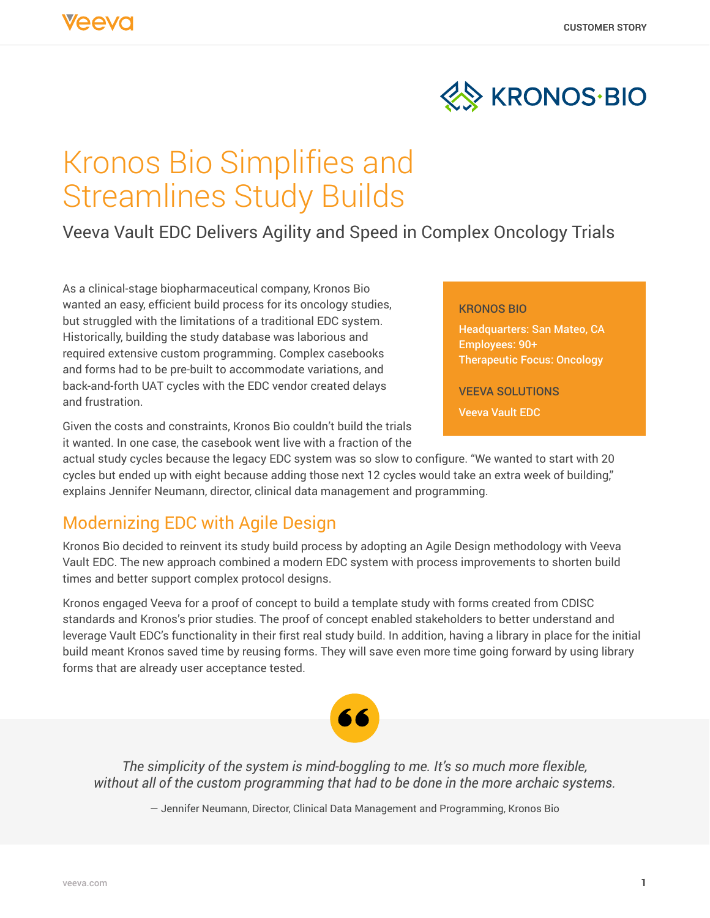

# Kronos Bio Simplifies and Streamlines Study Builds

Veeva Vault EDC Delivers Agility and Speed in Complex Oncology Trials

As a clinical-stage biopharmaceutical company, Kronos Bio wanted an easy, efficient build process for its oncology studies, but struggled with the limitations of a traditional EDC system. Historically, building the study database was laborious and required extensive custom programming. Complex casebooks and forms had to be pre-built to accommodate variations, and back-and-forth UAT cycles with the EDC vendor created delays and frustration.

#### KRONOS BIO

Headquarters: San Mateo, CA Employees: 90+ Therapeutic Focus: Oncology

VEEVA SOLUTIONS

Veeva Vault EDC

Given the costs and constraints, Kronos Bio couldn't build the trials it wanted. In one case, the casebook went live with a fraction of the

actual study cycles because the legacy EDC system was so slow to configure. "We wanted to start with 20 cycles but ended up with eight because adding those next 12 cycles would take an extra week of building," explains Jennifer Neumann, director, clinical data management and programming.

## Modernizing EDC with Agile Design

Kronos Bio decided to reinvent its study build process by adopting an Agile Design methodology with Veeva Vault EDC. The new approach combined a modern EDC system with process improvements to shorten build times and better support complex protocol designs.

Kronos engaged Veeva for a proof of concept to build a template study with forms created from CDISC standards and Kronos's prior studies. The proof of concept enabled stakeholders to better understand and leverage Vault EDC's functionality in their first real study build. In addition, having a library in place for the initial build meant Kronos saved time by reusing forms. They will save even more time going forward by using library forms that are already user acceptance tested.



*The simplicity of the system is mind-boggling to me. It's so much more flexible, without all of the custom programming that had to be done in the more archaic systems.*

— Jennifer Neumann, Director, Clinical Data Management and Programming, Kronos Bio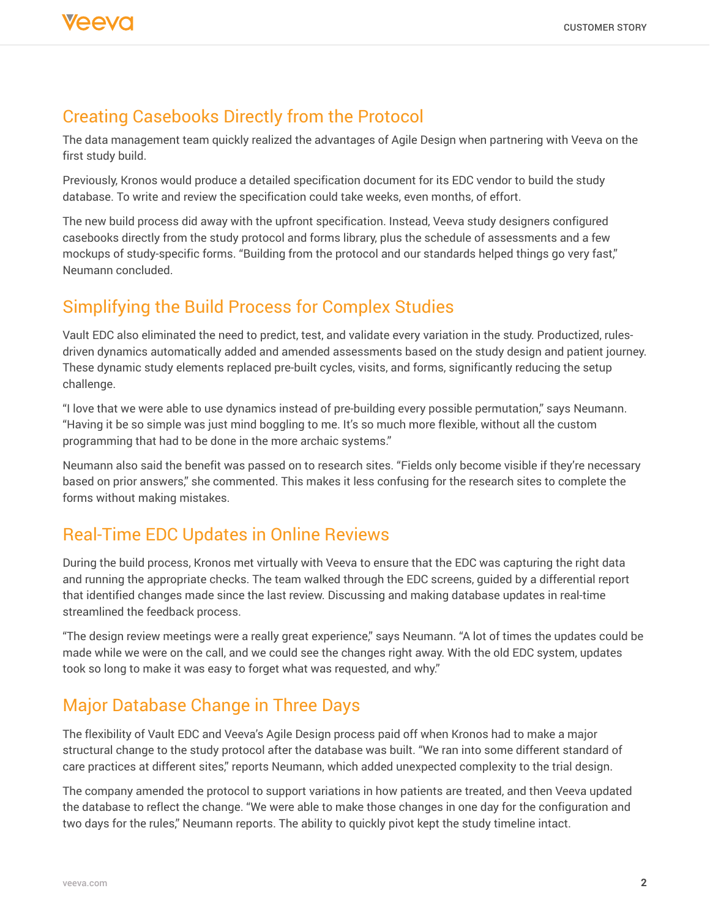### Creating Casebooks Directly from the Protocol

The data management team quickly realized the advantages of Agile Design when partnering with Veeva on the first study build.

Previously, Kronos would produce a detailed specification document for its EDC vendor to build the study database. To write and review the specification could take weeks, even months, of effort.

The new build process did away with the upfront specification. Instead, Veeva study designers configured casebooks directly from the study protocol and forms library, plus the schedule of assessments and a few mockups of study-specific forms. "Building from the protocol and our standards helped things go very fast," Neumann concluded.

#### Simplifying the Build Process for Complex Studies

Vault EDC also eliminated the need to predict, test, and validate every variation in the study. Productized, rulesdriven dynamics automatically added and amended assessments based on the study design and patient journey. These dynamic study elements replaced pre-built cycles, visits, and forms, significantly reducing the setup challenge.

"I love that we were able to use dynamics instead of pre-building every possible permutation," says Neumann. "Having it be so simple was just mind boggling to me. It's so much more flexible, without all the custom programming that had to be done in the more archaic systems."

Neumann also said the benefit was passed on to research sites. "Fields only become visible if they're necessary based on prior answers," she commented. This makes it less confusing for the research sites to complete the forms without making mistakes.

### Real-Time EDC Updates in Online Reviews

During the build process, Kronos met virtually with Veeva to ensure that the EDC was capturing the right data and running the appropriate checks. The team walked through the EDC screens, guided by a differential report that identified changes made since the last review. Discussing and making database updates in real-time streamlined the feedback process.

"The design review meetings were a really great experience," says Neumann. "A lot of times the updates could be made while we were on the call, and we could see the changes right away. With the old EDC system, updates took so long to make it was easy to forget what was requested, and why."

### Major Database Change in Three Days

The flexibility of Vault EDC and Veeva's Agile Design process paid off when Kronos had to make a major structural change to the study protocol after the database was built. "We ran into some different standard of care practices at different sites," reports Neumann, which added unexpected complexity to the trial design.

The company amended the protocol to support variations in how patients are treated, and then Veeva updated the database to reflect the change. "We were able to make those changes in one day for the configuration and two days for the rules," Neumann reports. The ability to quickly pivot kept the study timeline intact.